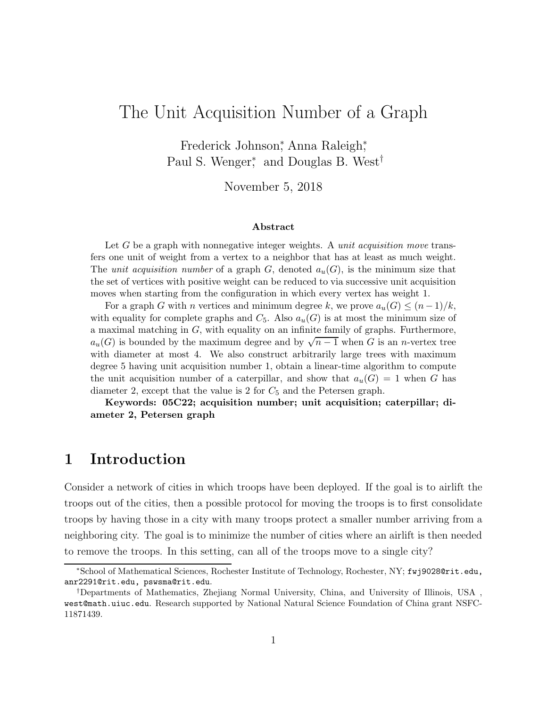## The Unit Acquisition Number of a Graph

Frederick Johnson<sup>\*</sup>, Anna Raleigh<sup>\*</sup>, Paul S. Wenger<sup>\*</sup>, and Douglas B. West<sup>†</sup>

November 5, 2018

#### Abstract

Let  $G$  be a graph with nonnegative integer weights. A *unit acquisition move* transfers one unit of weight from a vertex to a neighbor that has at least as much weight. The *unit acquisition number* of a graph  $G$ , denoted  $a_u(G)$ , is the minimum size that the set of vertices with positive weight can be reduced to via successive unit acquisition moves when starting from the configuration in which every vertex has weight 1.

For a graph G with n vertices and minimum degree k, we prove  $a_u(G) \leq (n-1)/k$ , with equality for complete graphs and  $C_5$ . Also  $a_u(G)$  is at most the minimum size of a maximal matching in  $G$ , with equality on an infinite family of graphs. Furthermore,  $a_u(G)$  is bounded by the maximum degree and by  $\sqrt{n-1}$  when G is an n-vertex tree with diameter at most 4. We also construct arbitrarily large trees with maximum degree 5 having unit acquisition number 1, obtain a linear-time algorithm to compute the unit acquisition number of a caterpillar, and show that  $a_u(G) = 1$  when G has diameter 2, except that the value is 2 for  $C_5$  and the Petersen graph.

Keywords: 05C22; acquisition number; unit acquisition; caterpillar; diameter 2, Petersen graph

### 1 Introduction

Consider a network of cities in which troops have been deployed. If the goal is to airlift the troops out of the cities, then a possible protocol for moving the troops is to first consolidate troops by having those in a city with many troops protect a smaller number arriving from a neighboring city. The goal is to minimize the number of cities where an airlift is then needed to remove the troops. In this setting, can all of the troops move to a single city?

<sup>∗</sup>School of Mathematical Sciences, Rochester Institute of Technology, Rochester, NY; fwj9028@rit.edu, anr2291@rit.edu, pswsma@rit.edu.

<sup>†</sup>Departments of Mathematics, Zhejiang Normal University, China, and University of Illinois, USA , west@math.uiuc.edu. Research supported by National Natural Science Foundation of China grant NSFC-11871439.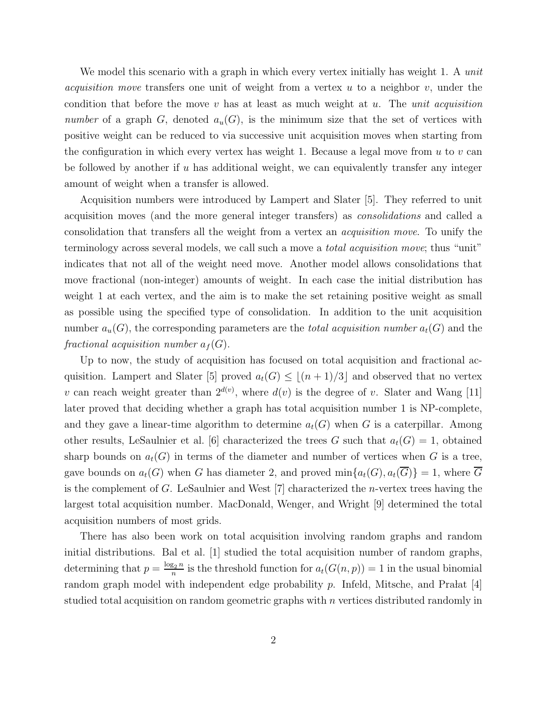We model this scenario with a graph in which every vertex initially has weight 1. A *unit acquisition move* transfers one unit of weight from a vertex  $u$  to a neighbor  $v$ , under the condition that before the move v has at least as much weight at u. The unit acquisition number of a graph G, denoted  $a_u(G)$ , is the minimum size that the set of vertices with positive weight can be reduced to via successive unit acquisition moves when starting from the configuration in which every vertex has weight 1. Because a legal move from  $u$  to  $v$  can be followed by another if u has additional weight, we can equivalently transfer any integer amount of weight when a transfer is allowed.

Acquisition numbers were introduced by Lampert and Slater [5]. They referred to unit acquisition moves (and the more general integer transfers) as consolidations and called a consolidation that transfers all the weight from a vertex an acquisition move. To unify the terminology across several models, we call such a move a total acquisition move; thus "unit" indicates that not all of the weight need move. Another model allows consolidations that move fractional (non-integer) amounts of weight. In each case the initial distribution has weight 1 at each vertex, and the aim is to make the set retaining positive weight as small as possible using the specified type of consolidation. In addition to the unit acquisition number  $a_u(G)$ , the corresponding parameters are the *total acquisition number*  $a_t(G)$  and the fractional acquisition number  $a_f(G)$ .

Up to now, the study of acquisition has focused on total acquisition and fractional acquisition. Lampert and Slater [5] proved  $a_t(G) \leq \lfloor (n+1)/3 \rfloor$  and observed that no vertex v can reach weight greater than  $2^{d(v)}$ , where  $d(v)$  is the degree of v. Slater and Wang [11] later proved that deciding whether a graph has total acquisition number 1 is NP-complete, and they gave a linear-time algorithm to determine  $a_t(G)$  when G is a caterpillar. Among other results, LeSaulnier et al. [6] characterized the trees G such that  $a_t(G) = 1$ , obtained sharp bounds on  $a_t(G)$  in terms of the diameter and number of vertices when G is a tree, gave bounds on  $a_t(G)$  when G has diameter 2, and proved  $\min\{a_t(G), a_t(\overline{G})\} = 1$ , where  $\overline{G}$ is the complement of G. LeSaulnier and West [7] characterized the n-vertex trees having the largest total acquisition number. MacDonald, Wenger, and Wright [9] determined the total acquisition numbers of most grids.

There has also been work on total acquisition involving random graphs and random initial distributions. Bal et al. [1] studied the total acquisition number of random graphs, determining that  $p = \frac{\log_2 n}{n}$  $\frac{\sum_{i=1}^{n} n_i}{n_i}$  is the threshold function for  $a_t(G(n, p)) = 1$  in the usual binomial random graph model with independent edge probability  $p$ . Infeld, Mitsche, and Pralat [4] studied total acquisition on random geometric graphs with n vertices distributed randomly in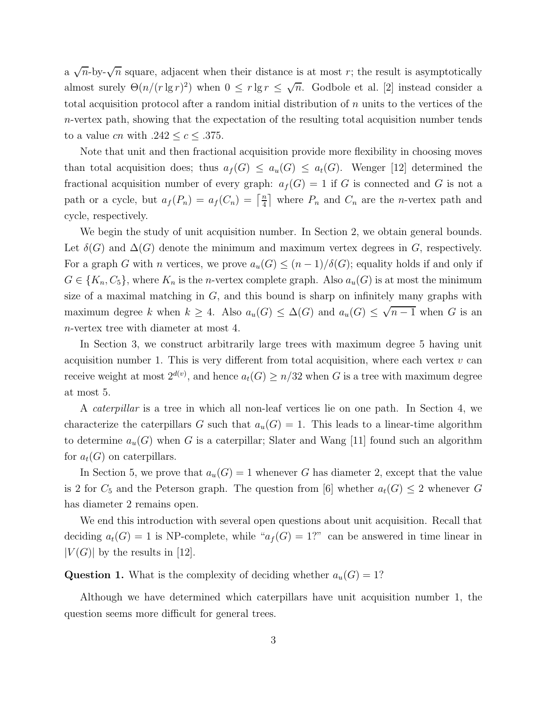a  $\sqrt{n}$ -by- $\sqrt{n}$  square, adjacent when their distance is at most r; the result is asymptotically almost surely  $\Theta(n/(r \lg r)^2)$  when  $0 \le r \lg r \le \sqrt{n}$ . Godbole et al. [2] instead consider a total acquisition protocol after a random initial distribution of  $n$  units to the vertices of the n-vertex path, showing that the expectation of the resulting total acquisition number tends to a value *cn* with  $.242 \leq c \leq .375$ .

Note that unit and then fractional acquisition provide more flexibility in choosing moves than total acquisition does; thus  $a_f(G) \le a_u(G) \le a_t(G)$ . Wenger [12] determined the fractional acquisition number of every graph:  $a_f(G) = 1$  if G is connected and G is not a path or a cycle, but  $a_f(P_n) = a_f(C_n) = \left[\frac{n}{4}\right]$  $\frac{n}{4}$  where  $P_n$  and  $C_n$  are the *n*-vertex path and cycle, respectively.

We begin the study of unit acquisition number. In Section 2, we obtain general bounds. Let  $\delta(G)$  and  $\Delta(G)$  denote the minimum and maximum vertex degrees in G, respectively. For a graph G with n vertices, we prove  $a_u(G) \leq (n-1)/\delta(G)$ ; equality holds if and only if  $G \in \{K_n, C_5\}$ , where  $K_n$  is the *n*-vertex complete graph. Also  $a_u(G)$  is at most the minimum size of a maximal matching in  $G$ , and this bound is sharp on infinitely many graphs with maximum degree k when  $k \geq 4$ . Also  $a_u(G) \leq \Delta(G)$  and  $a_u(G) \leq \sqrt{n-1}$  when G is an n-vertex tree with diameter at most 4.

In Section 3, we construct arbitrarily large trees with maximum degree 5 having unit acquisition number 1. This is very different from total acquisition, where each vertex  $v$  can receive weight at most  $2^{d(v)}$ , and hence  $a_t(G) \ge n/32$  when G is a tree with maximum degree at most 5.

A caterpillar is a tree in which all non-leaf vertices lie on one path. In Section 4, we characterize the caterpillars G such that  $a_u(G) = 1$ . This leads to a linear-time algorithm to determine  $a_u(G)$  when G is a caterpillar; Slater and Wang [11] found such an algorithm for  $a_t(G)$  on caterpillars.

In Section 5, we prove that  $a_u(G) = 1$  whenever G has diameter 2, except that the value is 2 for  $C_5$  and the Peterson graph. The question from [6] whether  $a_t(G) \leq 2$  whenever G has diameter 2 remains open.

We end this introduction with several open questions about unit acquisition. Recall that deciding  $a_t(G) = 1$  is NP-complete, while " $a_f(G) = 1$ ?" can be answered in time linear in  $|V(G)|$  by the results in [12].

**Question 1.** What is the complexity of deciding whether  $a_u(G) = 1$ ?

Although we have determined which caterpillars have unit acquisition number 1, the question seems more difficult for general trees.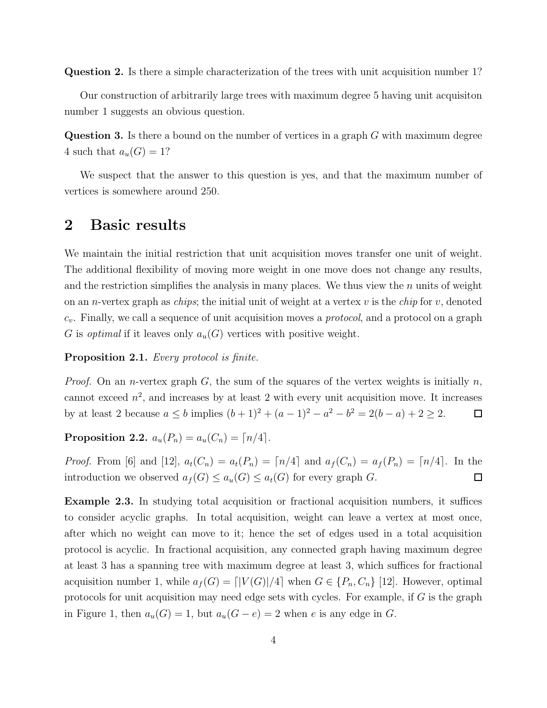Question 2. Is there a simple characterization of the trees with unit acquisition number 1?

Our construction of arbitrarily large trees with maximum degree 5 having unit acquisiton number 1 suggests an obvious question.

Question 3. Is there a bound on the number of vertices in a graph G with maximum degree 4 such that  $a_u(G) = 1$ ?

We suspect that the answer to this question is yes, and that the maximum number of vertices is somewhere around 250.

### 2 Basic results

We maintain the initial restriction that unit acquisition moves transfer one unit of weight. The additional flexibility of moving more weight in one move does not change any results, and the restriction simplifies the analysis in many places. We thus view the  $n$  units of weight on an *n*-vertex graph as *chips*; the initial unit of weight at a vertex v is the *chip* for v, denoted  $c_v$ . Finally, we call a sequence of unit acquisition moves a *protocol*, and a protocol on a graph G is *optimal* if it leaves only  $a_u(G)$  vertices with positive weight.

Proposition 2.1. Every protocol is finite.

*Proof.* On an *n*-vertex graph G, the sum of the squares of the vertex weights is initially n, cannot exceed  $n^2$ , and increases by at least 2 with every unit acquisition move. It increases by at least 2 because  $a \le b$  implies  $(b+1)^2 + (a-1)^2 - a^2 - b^2 = 2(b-a) + 2 \ge 2$ .  $\Box$ 

Proposition 2.2.  $a_u(P_n) = a_u(C_n) = \lceil n/4 \rceil$ .

*Proof.* From [6] and [12],  $a_t(C_n) = a_t(P_n) = [n/4]$  and  $a_f(C_n) = a_f(P_n) = [n/4]$ . In the introduction we observed  $a_f(G) \le a_u(G) \le a_t(G)$  for every graph G.  $\Box$ 

Example 2.3. In studying total acquisition or fractional acquisition numbers, it suffices to consider acyclic graphs. In total acquisition, weight can leave a vertex at most once, after which no weight can move to it; hence the set of edges used in a total acquisition protocol is acyclic. In fractional acquisition, any connected graph having maximum degree at least 3 has a spanning tree with maximum degree at least 3, which suffices for fractional acquisition number 1, while  $a_f(G) = \lfloor |V(G)|/4 \rfloor$  when  $G \in \{P_n, C_n\}$  [12]. However, optimal protocols for unit acquisition may need edge sets with cycles. For example, if  $G$  is the graph in Figure 1, then  $a_u(G) = 1$ , but  $a_u(G - e) = 2$  when e is any edge in G.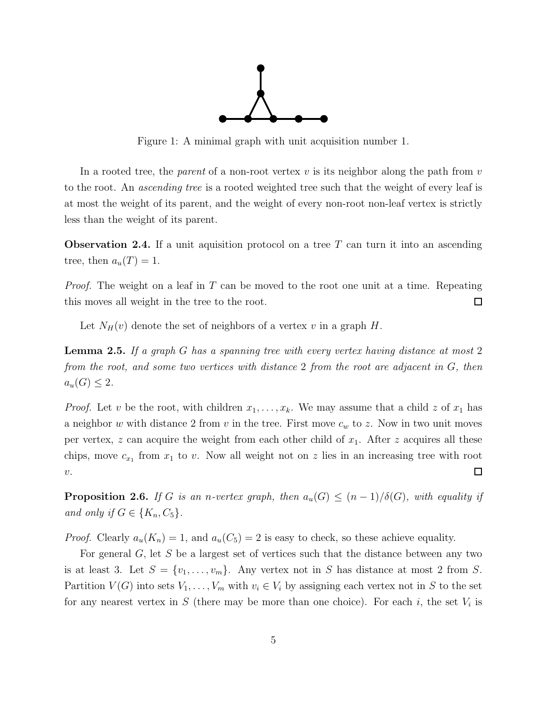

Figure 1: A minimal graph with unit acquisition number 1.

In a rooted tree, the *parent* of a non-root vertex v is its neighbor along the path from v to the root. An *ascending tree* is a rooted weighted tree such that the weight of every leaf is at most the weight of its parent, and the weight of every non-root non-leaf vertex is strictly less than the weight of its parent.

**Observation 2.4.** If a unit aquisition protocol on a tree  $T$  can turn it into an ascending tree, then  $a_u(T) = 1$ .

*Proof.* The weight on a leaf in T can be moved to the root one unit at a time. Repeating this moves all weight in the tree to the root.  $\Box$ 

Let  $N_H(v)$  denote the set of neighbors of a vertex v in a graph H.

**Lemma 2.5.** If a graph G has a spanning tree with every vertex having distance at most 2 from the root, and some two vertices with distance 2 from the root are adjacent in G, then  $a_u(G) \leq 2$ .

*Proof.* Let v be the root, with children  $x_1, \ldots, x_k$ . We may assume that a child z of  $x_1$  has a neighbor w with distance 2 from v in the tree. First move  $c_w$  to z. Now in two unit moves per vertex, z can acquire the weight from each other child of  $x_1$ . After z acquires all these chips, move  $c_{x_1}$  from  $x_1$  to v. Now all weight not on z lies in an increasing tree with root  $\Box$  $\upsilon.$ 

**Proposition 2.6.** If G is an n-vertex graph, then  $a_u(G) \leq (n-1)/\delta(G)$ , with equality if and only if  $G \in \{K_n, C_5\}$ .

*Proof.* Clearly  $a_u(K_n) = 1$ , and  $a_u(C_5) = 2$  is easy to check, so these achieve equality.

For general  $G$ , let S be a largest set of vertices such that the distance between any two is at least 3. Let  $S = \{v_1, \ldots, v_m\}$ . Any vertex not in S has distance at most 2 from S. Partition  $V(G)$  into sets  $V_1, \ldots, V_m$  with  $v_i \in V_i$  by assigning each vertex not in S to the set for any nearest vertex in  $S$  (there may be more than one choice). For each i, the set  $V_i$  is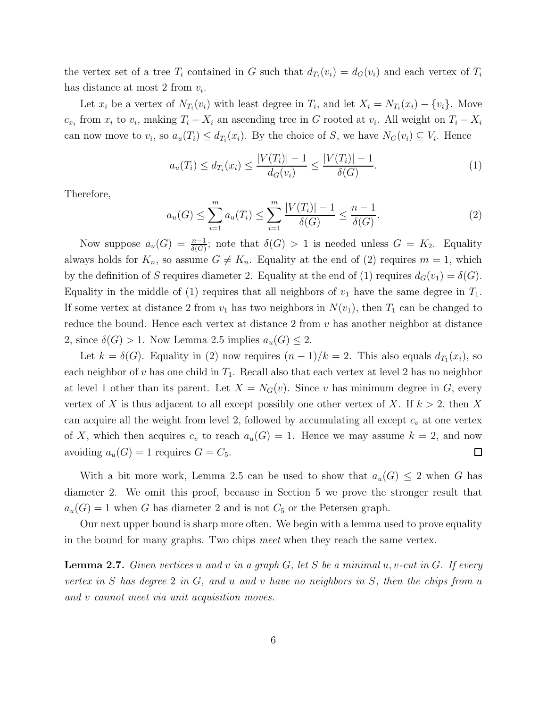the vertex set of a tree  $T_i$  contained in G such that  $d_{T_i}(v_i) = d_G(v_i)$  and each vertex of  $T_i$ has distance at most 2 from  $v_i$ .

Let  $x_i$  be a vertex of  $N_{T_i}(v_i)$  with least degree in  $T_i$ , and let  $X_i = N_{T_i}(x_i) - \{v_i\}$ . Move  $c_{x_i}$  from  $x_i$  to  $v_i$ , making  $T_i - X_i$  an ascending tree in G rooted at  $v_i$ . All weight on  $T_i - X_i$ can now move to  $v_i$ , so  $a_u(T_i) \leq d_{T_i}(x_i)$ . By the choice of S, we have  $N_G(v_i) \subseteq V_i$ . Hence

$$
a_u(T_i) \le d_{T_i}(x_i) \le \frac{|V(T_i)| - 1}{d_G(v_i)} \le \frac{|V(T_i)| - 1}{\delta(G)}.
$$
\n(1)

Therefore,

$$
a_u(G) \le \sum_{i=1}^m a_u(T_i) \le \sum_{i=1}^m \frac{|V(T_i)| - 1}{\delta(G)} \le \frac{n-1}{\delta(G)}.\tag{2}
$$

Now suppose  $a_u(G) = \frac{n-1}{\delta(G)}$ ; note that  $\delta(G) > 1$  is needed unless  $G = K_2$ . Equality always holds for  $K_n$ , so assume  $G \neq K_n$ . Equality at the end of (2) requires  $m = 1$ , which by the definition of S requires diameter 2. Equality at the end of (1) requires  $d_G(v_1) = \delta(G)$ . Equality in the middle of (1) requires that all neighbors of  $v_1$  have the same degree in  $T_1$ . If some vertex at distance 2 from  $v_1$  has two neighbors in  $N(v_1)$ , then  $T_1$  can be changed to reduce the bound. Hence each vertex at distance  $2$  from  $v$  has another neighbor at distance 2, since  $\delta(G) > 1$ . Now Lemma 2.5 implies  $a_u(G) \leq 2$ .

Let  $k = \delta(G)$ . Equality in (2) now requires  $(n - 1)/k = 2$ . This also equals  $d_{T_1}(x_i)$ , so each neighbor of v has one child in  $T_1$ . Recall also that each vertex at level 2 has no neighbor at level 1 other than its parent. Let  $X = N_G(v)$ . Since v has minimum degree in G, every vertex of X is thus adjacent to all except possibly one other vertex of X. If  $k > 2$ , then X can acquire all the weight from level 2, followed by accumulating all except  $c_v$  at one vertex of X, which then acquires  $c_v$  to reach  $a_u(G) = 1$ . Hence we may assume  $k = 2$ , and now avoiding  $a_u(G) = 1$  requires  $G = C_5$ .  $\Box$ 

With a bit more work, Lemma 2.5 can be used to show that  $a_u(G) \leq 2$  when G has diameter 2. We omit this proof, because in Section 5 we prove the stronger result that  $a_u(G) = 1$  when G has diameter 2 and is not  $C_5$  or the Petersen graph.

Our next upper bound is sharp more often. We begin with a lemma used to prove equality in the bound for many graphs. Two chips meet when they reach the same vertex.

**Lemma 2.7.** Given vertices u and v in a graph  $G$ , let  $S$  be a minimal  $u, v$ -cut in  $G$ . If every vertex in S has degree 2 in G, and u and v have no neighbors in S, then the chips from  $u$ and v cannot meet via unit acquisition moves.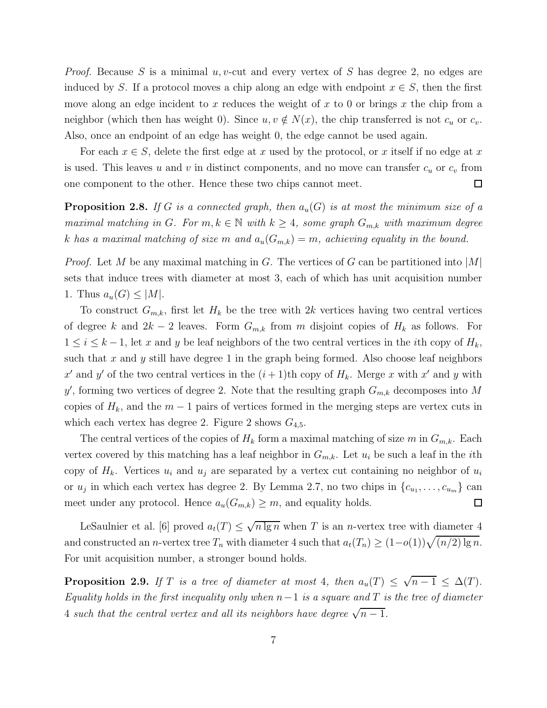*Proof.* Because S is a minimal u, v-cut and every vertex of S has degree 2, no edges are induced by S. If a protocol moves a chip along an edge with endpoint  $x \in S$ , then the first move along an edge incident to x reduces the weight of x to 0 or brings x the chip from a neighbor (which then has weight 0). Since  $u, v \notin N(x)$ , the chip transferred is not  $c_u$  or  $c_v$ . Also, once an endpoint of an edge has weight 0, the edge cannot be used again.

For each  $x \in S$ , delete the first edge at x used by the protocol, or x itself if no edge at x is used. This leaves u and v in distinct components, and no move can transfer  $c_u$  or  $c_v$  from one component to the other. Hence these two chips cannot meet.  $\Box$ 

**Proposition 2.8.** If G is a connected graph, then  $a_u(G)$  is at most the minimum size of a maximal matching in G. For  $m, k \in \mathbb{N}$  with  $k \geq 4$ , some graph  $G_{m,k}$  with maximum degree k has a maximal matching of size m and  $a_u(G_{m,k}) = m$ , achieving equality in the bound.

*Proof.* Let M be any maximal matching in G. The vertices of G can be partitioned into  $|M|$ sets that induce trees with diameter at most 3, each of which has unit acquisition number 1. Thus  $a_u(G) \leq |M|$ .

To construct  $G_{m,k}$ , first let  $H_k$  be the tree with 2k vertices having two central vertices of degree k and  $2k - 2$  leaves. Form  $G_{m,k}$  from m disjoint copies of  $H_k$  as follows. For  $1 \leq i \leq k-1$ , let x and y be leaf neighbors of the two central vertices in the *i*th copy of  $H_k$ , such that x and y still have degree 1 in the graph being formed. Also choose leaf neighbors x' and y' of the two central vertices in the  $(i+1)$ th copy of  $H_k$ . Merge x with x' and y with y', forming two vertices of degree 2. Note that the resulting graph  $G_{m,k}$  decomposes into M copies of  $H_k$ , and the  $m-1$  pairs of vertices formed in the merging steps are vertex cuts in which each vertex has degree 2. Figure 2 shows  $G_{4,5}$ .

The central vertices of the copies of  $H_k$  form a maximal matching of size m in  $G_{m,k}$ . Each vertex covered by this matching has a leaf neighbor in  $G_{m,k}$ . Let  $u_i$  be such a leaf in the *i*th copy of  $H_k$ . Vertices  $u_i$  and  $u_j$  are separated by a vertex cut containing no neighbor of  $u_i$ or  $u_j$  in which each vertex has degree 2. By Lemma 2.7, no two chips in  $\{c_{u_1}, \ldots, c_{u_m}\}$  can meet under any protocol. Hence  $a_u(G_{m,k}) \geq m$ , and equality holds.  $\Box$ 

LeSaulnier et al. [6] proved  $a_t(T) \leq \sqrt{n \lg n}$  when T is an *n*-vertex tree with diameter 4 and constructed an *n*-vertex tree  $T_n$  with diameter 4 such that  $a_t(T_n) \geq (1 - o(1))\sqrt{(n/2)\lg n}$ . For unit acquisition number, a stronger bound holds.

**Proposition 2.9.** If T is a tree of diameter at most 4, then  $a_u(T) \leq \sqrt{n-1} \leq \Delta(T)$ . Equality holds in the first inequality only when  $n-1$  is a square and T is the tree of diameter 4 such that the central vertex and all its neighbors have degree  $\sqrt{n-1}$ .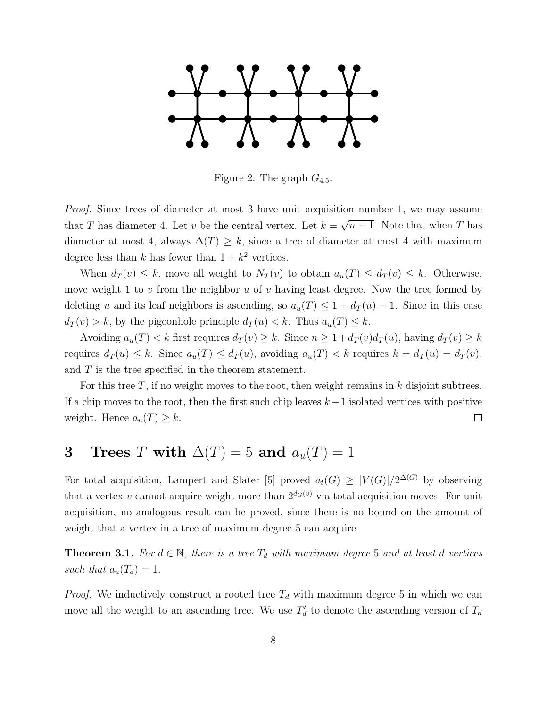

Figure 2: The graph  $G_{4,5}$ .

Proof. Since trees of diameter at most 3 have unit acquisition number 1, we may assume that T has diameter 4. Let v be the central vertex. Let  $k = \sqrt{n-1}$ . Note that when T has diameter at most 4, always  $\Delta(T) \geq k$ , since a tree of diameter at most 4 with maximum degree less than k has fewer than  $1 + k^2$  vertices.

When  $d_T(v) \leq k$ , move all weight to  $N_T(v)$  to obtain  $a_u(T) \leq d_T(v) \leq k$ . Otherwise, move weight 1 to  $v$  from the neighbor  $u$  of  $v$  having least degree. Now the tree formed by deleting u and its leaf neighbors is ascending, so  $a_u(T) \leq 1 + d_T(u) - 1$ . Since in this case  $d_T(v) > k$ , by the pigeonhole principle  $d_T(u) < k$ . Thus  $a_u(T) \leq k$ .

Avoiding  $a_u(T) < k$  first requires  $d_T(v) \geq k$ . Since  $n \geq 1 + d_T(v) d_T(u)$ , having  $d_T(v) \geq k$ requires  $d_T(u) \leq k$ . Since  $a_u(T) \leq d_T(u)$ , avoiding  $a_u(T) < k$  requires  $k = d_T(u) = d_T(v)$ , and T is the tree specified in the theorem statement.

For this tree T, if no weight moves to the root, then weight remains in  $k$  disjoint subtrees. If a chip moves to the root, then the first such chip leaves  $k-1$  isolated vertices with positive weight. Hence  $a_u(T) \geq k$ .  $\Box$ 

# 3 Trees T with  $\Delta(T) = 5$  and  $a_u(T) = 1$

For total acquisition, Lampert and Slater [5] proved  $a_t(G) \geq |V(G)|/2^{\Delta(G)}$  by observing that a vertex v cannot acquire weight more than  $2^{d_G(v)}$  via total acquisition moves. For unit acquisition, no analogous result can be proved, since there is no bound on the amount of weight that a vertex in a tree of maximum degree 5 can acquire.

**Theorem 3.1.** For  $d \in \mathbb{N}$ , there is a tree  $T_d$  with maximum degree 5 and at least d vertices such that  $a_u(T_d) = 1$ .

*Proof.* We inductively construct a rooted tree  $T<sub>d</sub>$  with maximum degree 5 in which we can move all the weight to an ascending tree. We use  $T_d$  to denote the ascending version of  $T_d$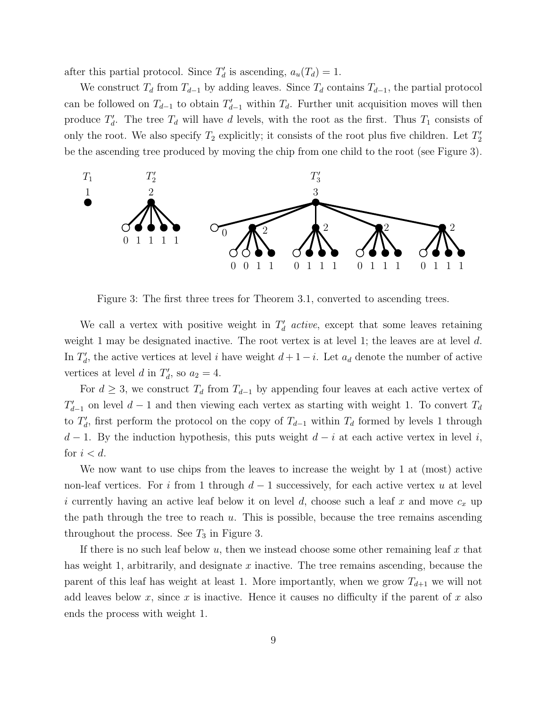after this partial protocol. Since  $T'_d$  is ascending,  $a_u(T_d) = 1$ .

We construct  $T_d$  from  $T_{d-1}$  by adding leaves. Since  $T_d$  contains  $T_{d-1}$ , the partial protocol can be followed on  $T_{d-1}$  to obtain  $T'_{d-1}$  within  $T_d$ . Further unit acquisition moves will then produce  $T'_d$ . The tree  $T_d$  will have d levels, with the root as the first. Thus  $T_1$  consists of only the root. We also specify  $T_2$  explicitly; it consists of the root plus five children. Let  $T_2'$ be the ascending tree produced by moving the chip from one child to the root (see Figure 3).



Figure 3: The first three trees for Theorem 3.1, converted to ascending trees.

We call a vertex with positive weight in  $T'_d$  active, except that some leaves retaining weight 1 may be designated inactive. The root vertex is at level 1; the leaves are at level  $d$ . In  $T'_d$ , the active vertices at level i have weight  $d+1-i$ . Let  $a_d$  denote the number of active vertices at level d in  $T'_d$ , so  $a_2 = 4$ .

For  $d \geq 3$ , we construct  $T_d$  from  $T_{d-1}$  by appending four leaves at each active vertex of  $T'_{d-1}$  on level  $d-1$  and then viewing each vertex as starting with weight 1. To convert  $T_d$ to  $T'_d$ , first perform the protocol on the copy of  $T_{d-1}$  within  $T_d$  formed by levels 1 through  $d-1$ . By the induction hypothesis, this puts weight  $d-i$  at each active vertex in level i, for  $i < d$ .

We now want to use chips from the leaves to increase the weight by 1 at (most) active non-leaf vertices. For i from 1 through  $d-1$  successively, for each active vertex u at level i currently having an active leaf below it on level d, choose such a leaf x and move  $c_x$  up the path through the tree to reach  $u$ . This is possible, because the tree remains ascending throughout the process. See  $T_3$  in Figure 3.

If there is no such leaf below u, then we instead choose some other remaining leaf x that has weight 1, arbitrarily, and designate x inactive. The tree remains ascending, because the parent of this leaf has weight at least 1. More importantly, when we grow  $T_{d+1}$  we will not add leaves below x, since x is inactive. Hence it causes no difficulty if the parent of x also ends the process with weight 1.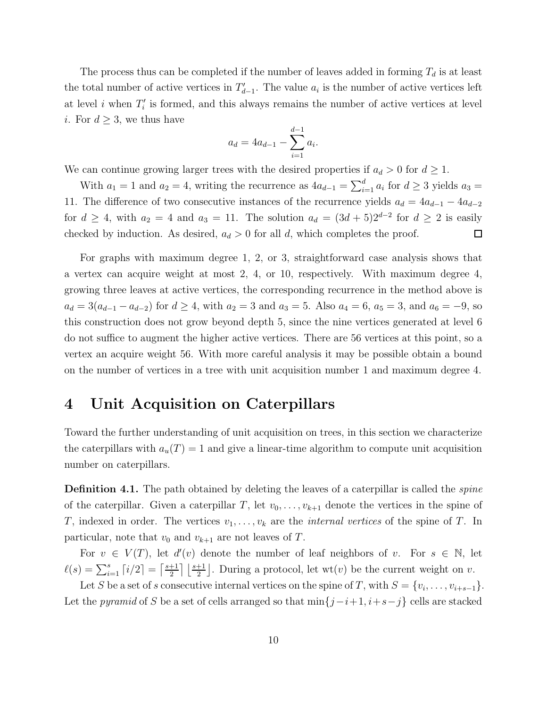The process thus can be completed if the number of leaves added in forming  $T_d$  is at least the total number of active vertices in  $T'_{d-1}$ . The value  $a_i$  is the number of active vertices left at level  $i$  when  $T_i'$  is formed, and this always remains the number of active vertices at level *i*. For  $d \geq 3$ , we thus have

$$
a_d = 4a_{d-1} - \sum_{i=1}^{d-1} a_i.
$$

We can continue growing larger trees with the desired properties if  $a_d > 0$  for  $d \geq 1$ .

With  $a_1 = 1$  and  $a_2 = 4$ , writing the recurrence as  $4a_{d-1} = \sum_{i=1}^{d} a_i$  for  $d \geq 3$  yields  $a_3 =$ 11. The difference of two consecutive instances of the recurrence yields  $a_d = 4a_{d-1} - 4a_{d-2}$ for  $d \geq 4$ , with  $a_2 = 4$  and  $a_3 = 11$ . The solution  $a_d = (3d + 5)2^{d-2}$  for  $d \geq 2$  is easily checked by induction. As desired,  $a_d > 0$  for all d, which completes the proof.  $\Box$ 

For graphs with maximum degree 1, 2, or 3, straightforward case analysis shows that a vertex can acquire weight at most 2, 4, or 10, respectively. With maximum degree 4, growing three leaves at active vertices, the corresponding recurrence in the method above is  $a_d = 3(a_{d-1} - a_{d-2})$  for  $d \geq 4$ , with  $a_2 = 3$  and  $a_3 = 5$ . Also  $a_4 = 6$ ,  $a_5 = 3$ , and  $a_6 = -9$ , so this construction does not grow beyond depth 5, since the nine vertices generated at level 6 do not suffice to augment the higher active vertices. There are 56 vertices at this point, so a vertex an acquire weight 56. With more careful analysis it may be possible obtain a bound on the number of vertices in a tree with unit acquisition number 1 and maximum degree 4.

### 4 Unit Acquisition on Caterpillars

Toward the further understanding of unit acquisition on trees, in this section we characterize the caterpillars with  $a_u(T) = 1$  and give a linear-time algorithm to compute unit acquisition number on caterpillars.

**Definition 4.1.** The path obtained by deleting the leaves of a caterpillar is called the *spine* of the caterpillar. Given a caterpillar T, let  $v_0, \ldots, v_{k+1}$  denote the vertices in the spine of T, indexed in order. The vertices  $v_1, \ldots, v_k$  are the *internal vertices* of the spine of T. In particular, note that  $v_0$  and  $v_{k+1}$  are not leaves of T.

For  $v \in V(T)$ , let  $d'(v)$  denote the number of leaf neighbors of v. For  $s \in \mathbb{N}$ , let  $\ell(s) = \sum_{i=1}^{s} \lceil i/2 \rceil = \lceil \frac{s+1}{2} \rceil$  $\frac{+1}{2}$   $\lfloor \frac{s+1}{2} \rfloor$ . During a protocol, let wt $(v)$  be the current weight on v.

Let S be a set of s consecutive internal vertices on the spine of T, with  $S = \{v_i, \ldots, v_{i+s-1}\}.$ Let the pyramid of S be a set of cells arranged so that  $\min\{j-i+1, i+s-j\}$  cells are stacked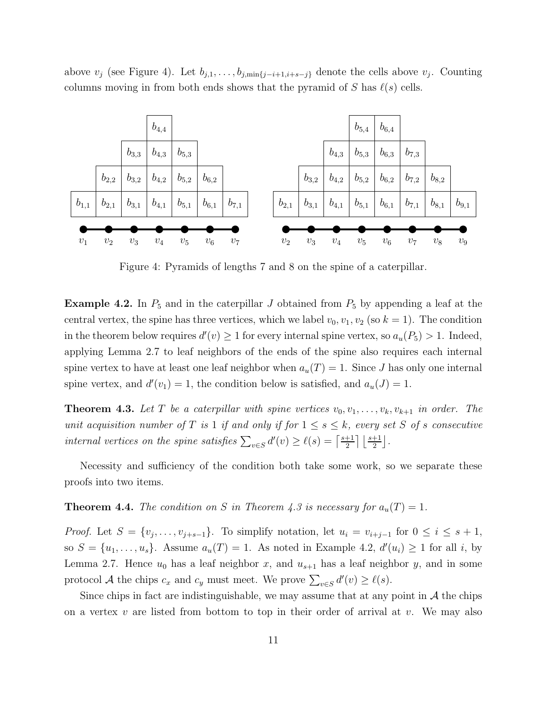above  $v_j$  (see Figure 4). Let  $b_{j,1},\ldots,b_{j,\min\{j-i+1,i+s-j\}}$  denote the cells above  $v_j$ . Counting columns moving in from both ends shows that the pyramid of S has  $\ell(s)$  cells.



Figure 4: Pyramids of lengths 7 and 8 on the spine of a caterpillar.

**Example 4.2.** In  $P_5$  and in the caterpillar J obtained from  $P_5$  by appending a leaf at the central vertex, the spine has three vertices, which we label  $v_0, v_1, v_2$  (so  $k = 1$ ). The condition in the theorem below requires  $d'(v) \geq 1$  for every internal spine vertex, so  $a_u(P_5) > 1$ . Indeed, applying Lemma 2.7 to leaf neighbors of the ends of the spine also requires each internal spine vertex to have at least one leaf neighbor when  $a_u(T) = 1$ . Since J has only one internal spine vertex, and  $d'(v_1) = 1$ , the condition below is satisfied, and  $a_u(J) = 1$ .

**Theorem 4.3.** Let T be a caterpillar with spine vertices  $v_0, v_1, \ldots, v_k, v_{k+1}$  in order. The unit acquisition number of T is 1 if and only if for  $1 \leq s \leq k$ , every set S of s consecutive internal vertices on the spine satisfies  $\sum_{v \in S} d'(v) \ge \ell(s) = \lceil \frac{s+1}{2} \rceil$  $\frac{+1}{2}$   $\left\lfloor \frac{s+1}{2} \right\rfloor$ .

Necessity and sufficiency of the condition both take some work, so we separate these proofs into two items.

#### **Theorem 4.4.** The condition on S in Theorem 4.3 is necessary for  $a_u(T) = 1$ .

*Proof.* Let  $S = \{v_j, \ldots, v_{j+s-1}\}\$ . To simplify notation, let  $u_i = v_{i+j-1}$  for  $0 \le i \le s+1$ , so  $S = \{u_1, \ldots, u_s\}$ . Assume  $a_u(T) = 1$ . As noted in Example 4.2,  $d'(u_i) \ge 1$  for all i, by Lemma 2.7. Hence  $u_0$  has a leaf neighbor x, and  $u_{s+1}$  has a leaf neighbor y, and in some protocol A the chips  $c_x$  and  $c_y$  must meet. We prove  $\sum_{v \in S} d'(v) \ge \ell(s)$ .

Since chips in fact are indistinguishable, we may assume that at any point in  $\mathcal A$  the chips on a vertex v are listed from bottom to top in their order of arrival at v. We may also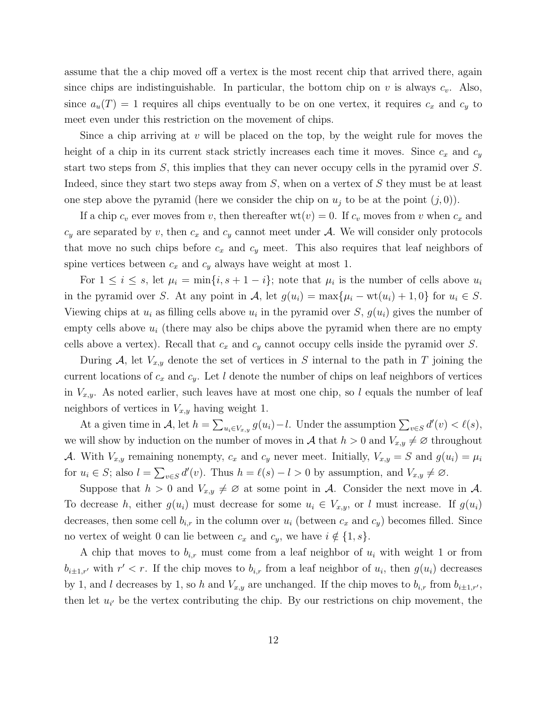assume that the a chip moved off a vertex is the most recent chip that arrived there, again since chips are indistinguishable. In particular, the bottom chip on v is always  $c_v$ . Also, since  $a_u(T) = 1$  requires all chips eventually to be on one vertex, it requires  $c_x$  and  $c_y$  to meet even under this restriction on the movement of chips.

Since a chip arriving at v will be placed on the top, by the weight rule for moves the height of a chip in its current stack strictly increases each time it moves. Since  $c_x$  and  $c_y$ start two steps from  $S$ , this implies that they can never occupy cells in the pyramid over  $S$ . Indeed, since they start two steps away from S, when on a vertex of S they must be at least one step above the pyramid (here we consider the chip on  $u_j$  to be at the point  $(j, 0)$ ).

If a chip  $c_v$  ever moves from v, then thereafter  $wt(v) = 0$ . If  $c_v$  moves from v when  $c_x$  and  $c_y$  are separated by v, then  $c_x$  and  $c_y$  cannot meet under A. We will consider only protocols that move no such chips before  $c_x$  and  $c_y$  meet. This also requires that leaf neighbors of spine vertices between  $c_x$  and  $c_y$  always have weight at most 1.

For  $1 \leq i \leq s$ , let  $\mu_i = \min\{i, s+1-i\}$ ; note that  $\mu_i$  is the number of cells above  $u_i$ in the pyramid over S. At any point in A, let  $g(u_i) = \max\{\mu_i - \text{wt}(u_i) + 1, 0\}$  for  $u_i \in S$ . Viewing chips at  $u_i$  as filling cells above  $u_i$  in the pyramid over S,  $g(u_i)$  gives the number of empty cells above  $u_i$  (there may also be chips above the pyramid when there are no empty cells above a vertex). Recall that  $c_x$  and  $c_y$  cannot occupy cells inside the pyramid over S.

During A, let  $V_{x,y}$  denote the set of vertices in S internal to the path in T joining the current locations of  $c_x$  and  $c_y$ . Let l denote the number of chips on leaf neighbors of vertices in  $V_{x,y}$ . As noted earlier, such leaves have at most one chip, so l equals the number of leaf neighbors of vertices in  $V_{x,y}$  having weight 1.

At a given time in A, let  $h = \sum_{u_i \in V_{x,y}} g(u_i) - l$ . Under the assumption  $\sum_{v \in S} d'(v) < l(s)$ , we will show by induction on the number of moves in A that  $h > 0$  and  $V_{x,y} \neq \emptyset$  throughout A. With  $V_{x,y}$  remaining nonempty,  $c_x$  and  $c_y$  never meet. Initially,  $V_{x,y} = S$  and  $g(u_i) = \mu_i$ for  $u_i \in S$ ; also  $l = \sum_{v \in S} d'(v)$ . Thus  $h = \ell(s) - l > 0$  by assumption, and  $V_{x,y} \neq \emptyset$ .

Suppose that  $h > 0$  and  $V_{x,y} \neq \emptyset$  at some point in A. Consider the next move in A. To decrease h, either  $g(u_i)$  must decrease for some  $u_i \in V_{x,y}$ , or l must increase. If  $g(u_i)$ decreases, then some cell  $b_{i,r}$  in the column over  $u_i$  (between  $c_x$  and  $c_y$ ) becomes filled. Since no vertex of weight 0 can lie between  $c_x$  and  $c_y$ , we have  $i \notin \{1, s\}.$ 

A chip that moves to  $b_{i,r}$  must come from a leaf neighbor of  $u_i$  with weight 1 or from  $b_{i\pm1,r'}$  with  $r' < r$ . If the chip moves to  $b_{i,r}$  from a leaf neighbor of  $u_i$ , then  $g(u_i)$  decreases by 1, and l decreases by 1, so h and  $V_{x,y}$  are unchanged. If the chip moves to  $b_{i,r}$  from  $b_{i\pm1,r'}$ , then let  $u_{i'}$  be the vertex contributing the chip. By our restrictions on chip movement, the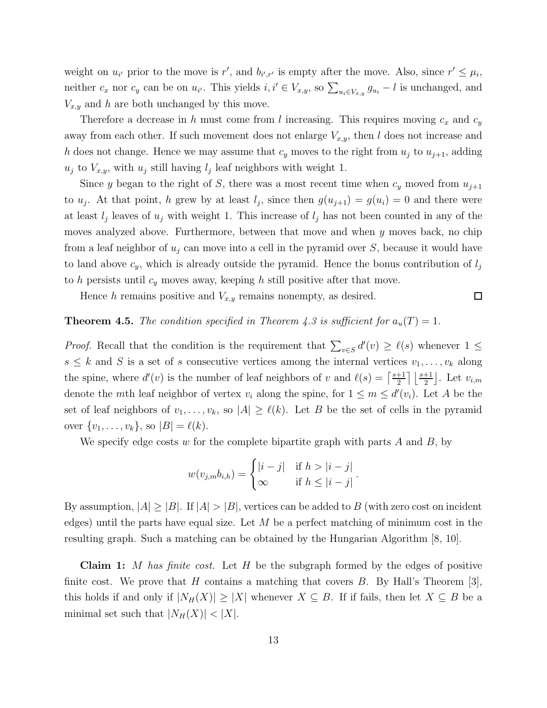weight on  $u_{i'}$  prior to the move is r', and  $b_{i',r'}$  is empty after the move. Also, since  $r' \leq \mu_i$ , neither  $c_x$  nor  $c_y$  can be on  $u_{i'}$ . This yields  $i, i' \in V_{x,y}$ , so  $\sum_{u_i \in V_{x,y}} g_{u_i} - l$  is unchanged, and  $V_{x,y}$  and h are both unchanged by this move.

Therefore a decrease in h must come from l increasing. This requires moving  $c_x$  and  $c_y$ away from each other. If such movement does not enlarge  $V_{x,y}$ , then l does not increase and h does not change. Hence we may assume that  $c_y$  moves to the right from  $u_j$  to  $u_{j+1}$ , adding  $u_j$  to  $V_{x,y}$ , with  $u_j$  still having  $l_j$  leaf neighbors with weight 1.

Since y began to the right of S, there was a most recent time when  $c_y$  moved from  $u_{j+1}$ to  $u_j$ . At that point, h grew by at least  $l_j$ , since then  $g(u_{j+1}) = g(u_i) = 0$  and there were at least  $l_j$  leaves of  $u_j$  with weight 1. This increase of  $l_j$  has not been counted in any of the moves analyzed above. Furthermore, between that move and when  $y$  moves back, no chip from a leaf neighbor of  $u_i$  can move into a cell in the pyramid over S, because it would have to land above  $c_y$ , which is already outside the pyramid. Hence the bonus contribution of  $l_j$ to h persists until  $c_y$  moves away, keeping h still positive after that move.

 $\Box$ 

Hence h remains positive and  $V_{x,y}$  remains nonempty, as desired.

#### **Theorem 4.5.** The condition specified in Theorem 4.3 is sufficient for  $a_u(T) = 1$ .

*Proof.* Recall that the condition is the requirement that  $\sum_{v \in S} d'(v) \ge \ell(s)$  whenever  $1 \le$  $s \leq k$  and S is a set of s consecutive vertices among the internal vertices  $v_1, \ldots, v_k$  along the spine, where  $d'(v)$  is the number of leaf neighbors of v and  $\ell(s) = \lceil \frac{s+1}{2} \rceil$  $\frac{+1}{2}$   $\lfloor \frac{s+1}{2} \rfloor$ . Let  $v_{i,m}$ denote the mth leaf neighbor of vertex  $v_i$  along the spine, for  $1 \leq m \leq d'(v_i)$ . Let A be the set of leaf neighbors of  $v_1, \ldots, v_k$ , so  $|A| \geq \ell(k)$ . Let B be the set of cells in the pyramid over  $\{v_1, \ldots, v_k\}$ , so  $|B| = \ell(k)$ .

We specify edge costs  $w$  for the complete bipartite graph with parts  $A$  and  $B$ , by

$$
w(v_{j,m}b_{i,h}) = \begin{cases} |i-j| & \text{if } h > |i-j| \\ \infty & \text{if } h \leq |i-j| \end{cases}.
$$

By assumption,  $|A| \ge |B|$ . If  $|A| > |B|$ , vertices can be added to B (with zero cost on incident edges) until the parts have equal size. Let  $M$  be a perfect matching of minimum cost in the resulting graph. Such a matching can be obtained by the Hungarian Algorithm [8, 10].

**Claim 1:** M has finite cost. Let H be the subgraph formed by the edges of positive finite cost. We prove that H contains a matching that covers  $B$ . By Hall's Theorem [3], this holds if and only if  $|N_H(X)| \geq |X|$  whenever  $X \subseteq B$ . If if fails, then let  $X \subseteq B$  be a minimal set such that  $|N_H(X)| < |X|$ .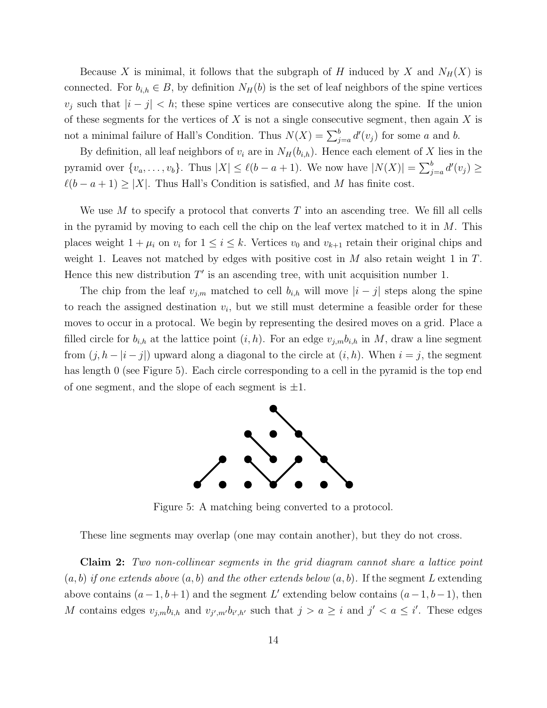Because X is minimal, it follows that the subgraph of H induced by X and  $N_H(X)$  is connected. For  $b_{i,h} \in B$ , by definition  $N_H(b)$  is the set of leaf neighbors of the spine vertices  $v_j$  such that  $|i-j| < k$ ; these spine vertices are consecutive along the spine. If the union of these segments for the vertices of  $X$  is not a single consecutive segment, then again  $X$  is not a minimal failure of Hall's Condition. Thus  $N(X) = \sum_{j=a}^{b} d'(v_j)$  for some a and b.

By definition, all leaf neighbors of  $v_i$  are in  $N_H(b_{i,h})$ . Hence each element of X lies in the pyramid over  $\{v_a, \ldots, v_b\}$ . Thus  $|X| \le \ell(b-a+1)$ . We now have  $|N(X)| = \sum_{j=a}^{b} d'(v_j) \ge$  $\ell(b-a+1) \ge |X|$ . Thus Hall's Condition is satisfied, and M has finite cost.

We use M to specify a protocol that converts T into an ascending tree. We fill all cells in the pyramid by moving to each cell the chip on the leaf vertex matched to it in  $M$ . This places weight  $1 + \mu_i$  on  $v_i$  for  $1 \leq i \leq k$ . Vertices  $v_0$  and  $v_{k+1}$  retain their original chips and weight 1. Leaves not matched by edges with positive cost in  $M$  also retain weight 1 in  $T$ . Hence this new distribution  $T'$  is an ascending tree, with unit acquisition number 1.

The chip from the leaf  $v_{j,m}$  matched to cell  $b_{i,h}$  will move  $|i-j|$  steps along the spine to reach the assigned destination  $v_i$ , but we still must determine a feasible order for these moves to occur in a protocal. We begin by representing the desired moves on a grid. Place a filled circle for  $b_{i,h}$  at the lattice point  $(i,h)$ . For an edge  $v_{j,m}b_{i,h}$  in M, draw a line segment from  $(j, h - |i - j|)$  upward along a diagonal to the circle at  $(i, h)$ . When  $i = j$ , the segment has length 0 (see Figure 5). Each circle corresponding to a cell in the pyramid is the top end of one segment, and the slope of each segment is  $\pm 1$ .



Figure 5: A matching being converted to a protocol.

These line segments may overlap (one may contain another), but they do not cross.

Claim 2: Two non-collinear segments in the grid diagram cannot share a lattice point  $(a, b)$  if one extends above  $(a, b)$  and the other extends below  $(a, b)$ . If the segment L extending above contains  $(a-1, b+1)$  and the segment L' extending below contains  $(a-1, b-1)$ , then M contains edges  $v_{j,m}b_{i,h}$  and  $v_{j',m'}b_{i',h'}$  such that  $j > a \geq i$  and  $j' < a \leq i'$ . These edges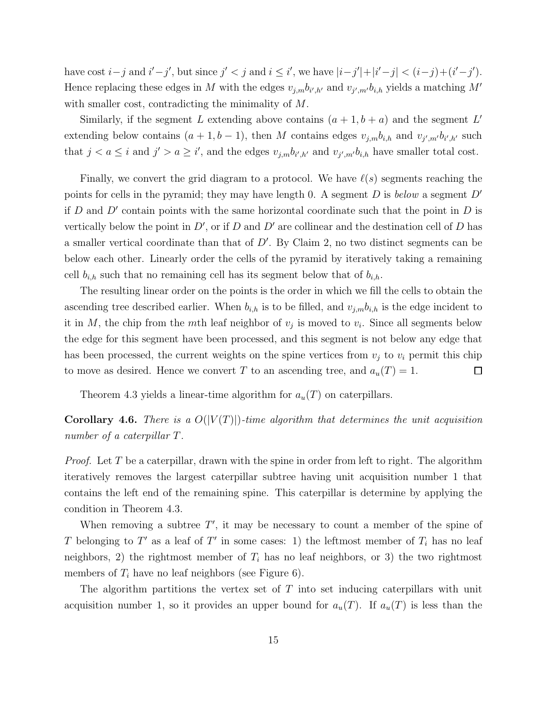have cost  $i - j$  and  $i' - j'$ , but since  $j' < j$  and  $i \leq i'$ , we have  $|i - j'| + |i' - j| < (i - j) + (i' - j')$ . Hence replacing these edges in M with the edges  $v_{j,m}b_{i',h'}$  and  $v_{j',m'}b_{i,h}$  yields a matching M' with smaller cost, contradicting the minimality of M.

Similarly, if the segment L extending above contains  $(a+1,b+a)$  and the segment L' extending below contains  $(a+1,b-1)$ , then M contains edges  $v_{j,m}b_{i,h}$  and  $v_{j',m'}b_{i',h'}$  such that  $j < a \leq i$  and  $j' > a \geq i'$ , and the edges  $v_{j,m}b_{i',h'}$  and  $v_{j',m'}b_{i,h}$  have smaller total cost.

Finally, we convert the grid diagram to a protocol. We have  $\ell(s)$  segments reaching the points for cells in the pyramid; they may have length 0. A segment  $D$  is below a segment  $D'$ if  $D$  and  $D'$  contain points with the same horizontal coordinate such that the point in  $D$  is vertically below the point in  $D'$ , or if  $D$  and  $D'$  are collinear and the destination cell of  $D$  has a smaller vertical coordinate than that of  $D'$ . By Claim 2, no two distinct segments can be below each other. Linearly order the cells of the pyramid by iteratively taking a remaining cell  $b_{i,h}$  such that no remaining cell has its segment below that of  $b_{i,h}$ .

The resulting linear order on the points is the order in which we fill the cells to obtain the ascending tree described earlier. When  $b_{i,h}$  is to be filled, and  $v_{j,m}b_{i,h}$  is the edge incident to it in M, the chip from the mth leaf neighbor of  $v_j$  is moved to  $v_i$ . Since all segments below the edge for this segment have been processed, and this segment is not below any edge that has been processed, the current weights on the spine vertices from  $v_i$  to  $v_i$  permit this chip to move as desired. Hence we convert T to an ascending tree, and  $a_u(T) = 1$ .  $\Box$ 

Theorem 4.3 yields a linear-time algorithm for  $a_u(T)$  on caterpillars.

**Corollary 4.6.** There is a  $O(|V(T)|)$ -time algorithm that determines the unit acquisition number of a caterpillar T.

*Proof.* Let T be a caterpillar, drawn with the spine in order from left to right. The algorithm iteratively removes the largest caterpillar subtree having unit acquisition number 1 that contains the left end of the remaining spine. This caterpillar is determine by applying the condition in Theorem 4.3.

When removing a subtree  $T'$ , it may be necessary to count a member of the spine of T belonging to T' as a leaf of T' in some cases: 1) the leftmost member of  $T_i$  has no leaf neighbors, 2) the rightmost member of  $T_i$  has no leaf neighbors, or 3) the two rightmost members of  $T_i$  have no leaf neighbors (see Figure 6).

The algorithm partitions the vertex set of  $T$  into set inducing caterpillars with unit acquisition number 1, so it provides an upper bound for  $a_u(T)$ . If  $a_u(T)$  is less than the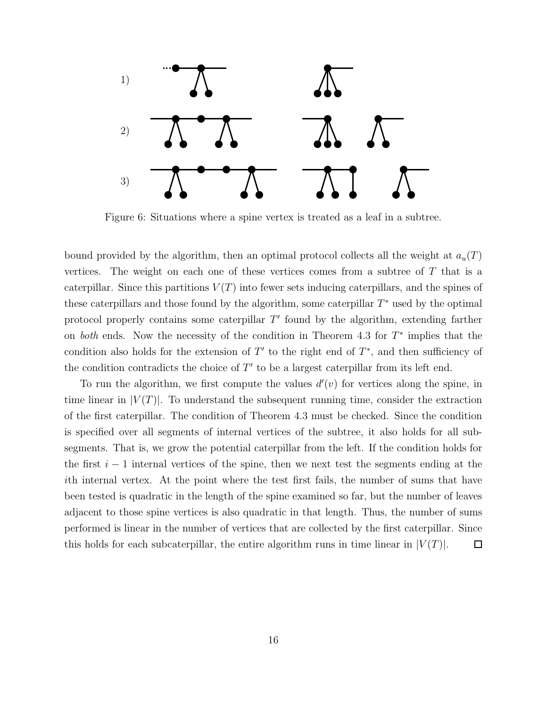

Figure 6: Situations where a spine vertex is treated as a leaf in a subtree.

bound provided by the algorithm, then an optimal protocol collects all the weight at  $a_u(T)$ vertices. The weight on each one of these vertices comes from a subtree of  $T$  that is a caterpillar. Since this partitions  $V(T)$  into fewer sets inducing caterpillars, and the spines of these caterpillars and those found by the algorithm, some caterpillar  $T^*$  used by the optimal protocol properly contains some caterpillar T' found by the algorithm, extending farther on both ends. Now the necessity of the condition in Theorem 4.3 for  $T^*$  implies that the condition also holds for the extension of  $T'$  to the right end of  $T^*$ , and then sufficiency of the condition contradicts the choice of  $T'$  to be a largest caterpillar from its left end.

To run the algorithm, we first compute the values  $d'(v)$  for vertices along the spine, in time linear in  $|V(T)|$ . To understand the subsequent running time, consider the extraction of the first caterpillar. The condition of Theorem 4.3 must be checked. Since the condition is specified over all segments of internal vertices of the subtree, it also holds for all subsegments. That is, we grow the potential caterpillar from the left. If the condition holds for the first  $i - 1$  internal vertices of the spine, then we next test the segments ending at the ith internal vertex. At the point where the test first fails, the number of sums that have been tested is quadratic in the length of the spine examined so far, but the number of leaves adjacent to those spine vertices is also quadratic in that length. Thus, the number of sums performed is linear in the number of vertices that are collected by the first caterpillar. Since this holds for each subcaterpillar, the entire algorithm runs in time linear in  $|V(T)|$ . □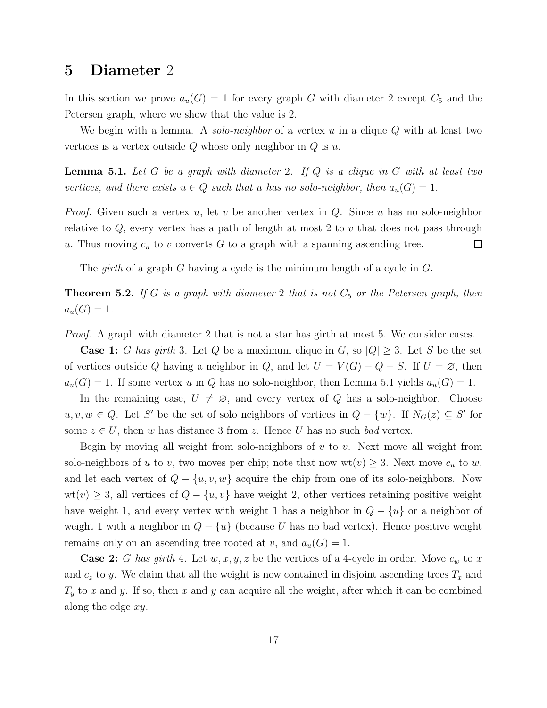### 5 Diameter 2

In this section we prove  $a_u(G) = 1$  for every graph G with diameter 2 except  $C_5$  and the Petersen graph, where we show that the value is 2.

We begin with a lemma. A *solo-neighbor* of a vertex u in a clique  $Q$  with at least two vertices is a vertex outside  $Q$  whose only neighbor in  $Q$  is  $u$ .

**Lemma 5.1.** Let G be a graph with diameter 2. If  $Q$  is a clique in  $G$  with at least two vertices, and there exists  $u \in Q$  such that u has no solo-neighbor, then  $a_u(G) = 1$ .

*Proof.* Given such a vertex u, let v be another vertex in Q. Since u has no solo-neighbor relative to  $Q$ , every vertex has a path of length at most 2 to  $v$  that does not pass through u. Thus moving  $c_u$  to v converts G to a graph with a spanning ascending tree.  $\Box$ 

The girth of a graph G having a cycle is the minimum length of a cycle in  $G$ .

**Theorem 5.2.** If G is a graph with diameter 2 that is not  $C_5$  or the Petersen graph, then  $a_u(G) = 1.$ 

Proof. A graph with diameter 2 that is not a star has girth at most 5. We consider cases.

**Case 1:** G has girth 3. Let Q be a maximum clique in G, so  $|Q| \geq 3$ . Let S be the set of vertices outside Q having a neighbor in Q, and let  $U = V(G) - Q - S$ . If  $U = \emptyset$ , then  $a_u(G) = 1$ . If some vertex u in Q has no solo-neighbor, then Lemma 5.1 yields  $a_u(G) = 1$ .

In the remaining case,  $U \neq \emptyset$ , and every vertex of Q has a solo-neighbor. Choose  $u, v, w \in Q$ . Let S' be the set of solo neighbors of vertices in  $Q - \{w\}$ . If  $N_G(z) \subseteq S'$  for some  $z \in U$ , then w has distance 3 from z. Hence U has no such bad vertex.

Begin by moving all weight from solo-neighbors of  $v$  to  $v$ . Next move all weight from solo-neighbors of u to v, two moves per chip; note that now  $wt(v) \geq 3$ . Next move  $c_u$  to w, and let each vertex of  $Q - \{u, v, w\}$  acquire the chip from one of its solo-neighbors. Now  $wt(v) \geq 3$ , all vertices of  $Q - \{u, v\}$  have weight 2, other vertices retaining positive weight have weight 1, and every vertex with weight 1 has a neighbor in  $Q - \{u\}$  or a neighbor of weight 1 with a neighbor in  $Q - \{u\}$  (because U has no bad vertex). Hence positive weight remains only on an ascending tree rooted at v, and  $a_u(G) = 1$ .

**Case 2:** G has girth 4. Let  $w, x, y, z$  be the vertices of a 4-cycle in order. Move  $c_w$  to x and  $c_z$  to y. We claim that all the weight is now contained in disjoint ascending trees  $T_x$  and  $T_y$  to x and y. If so, then x and y can acquire all the weight, after which it can be combined along the edge xy.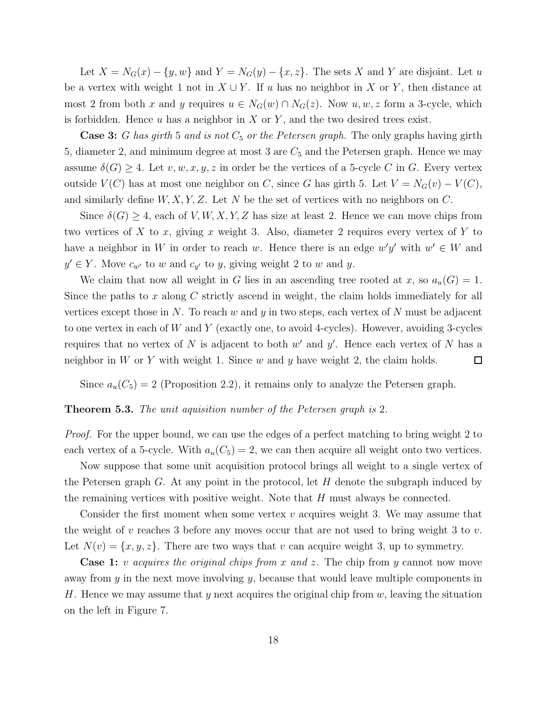Let  $X = N_G(x) - \{y, w\}$  and  $Y = N_G(y) - \{x, z\}$ . The sets X and Y are disjoint. Let u be a vertex with weight 1 not in  $X \cup Y$ . If u has no neighbor in X or Y, then distance at most 2 from both x and y requires  $u \in N_G(w) \cap N_G(z)$ . Now  $u, w, z$  form a 3-cycle, which is forbidden. Hence  $u$  has a neighbor in  $X$  or  $Y$ , and the two desired trees exist.

**Case 3:** G has girth 5 and is not  $C_5$  or the Petersen graph. The only graphs having girth 5, diameter 2, and minimum degree at most 3 are  $C_5$  and the Petersen graph. Hence we may assume  $\delta(G) \geq 4$ . Let  $v, w, x, y, z$  in order be the vertices of a 5-cycle C in G. Every vertex outside  $V(C)$  has at most one neighbor on C, since G has girth 5. Let  $V = N_G(v) - V(C)$ , and similarly define  $W, X, Y, Z$ . Let N be the set of vertices with no neighbors on C.

Since  $\delta(G) \geq 4$ , each of V, W, X, Y, Z has size at least 2. Hence we can move chips from two vertices of  $X$  to  $x$ , giving  $x$  weight 3. Also, diameter 2 requires every vertex of  $Y$  to have a neighbor in W in order to reach w. Hence there is an edge  $w'y'$  with  $w' \in W$  and  $y' \in Y$ . Move  $c_{w'}$  to w and  $c_{y'}$  to y, giving weight 2 to w and y.

We claim that now all weight in G lies in an ascending tree rooted at x, so  $a_u(G) = 1$ . Since the paths to x along  $C$  strictly ascend in weight, the claim holds immediately for all vertices except those in N. To reach w and y in two steps, each vertex of N must be adjacent to one vertex in each of  $W$  and  $Y$  (exactly one, to avoid 4-cycles). However, avoiding 3-cycles requires that no vertex of N is adjacent to both  $w'$  and  $y'$ . Hence each vertex of N has a neighbor in W or Y with weight 1. Since w and y have weight 2, the claim holds. □

Since  $a_u(C_5) = 2$  (Proposition 2.2), it remains only to analyze the Petersen graph.

#### **Theorem 5.3.** The unit aquisition number of the Petersen graph is 2.

Proof. For the upper bound, we can use the edges of a perfect matching to bring weight 2 to each vertex of a 5-cycle. With  $a_u(C_5) = 2$ , we can then acquire all weight onto two vertices.

Now suppose that some unit acquisition protocol brings all weight to a single vertex of the Petersen graph  $G$ . At any point in the protocol, let  $H$  denote the subgraph induced by the remaining vertices with positive weight. Note that H must always be connected.

Consider the first moment when some vertex  $v$  acquires weight 3. We may assume that the weight of v reaches 3 before any moves occur that are not used to bring weight 3 to v. Let  $N(v) = \{x, y, z\}$ . There are two ways that v can acquire weight 3, up to symmetry.

**Case 1:** v acquires the original chips from x and z. The chip from y cannot now move away from  $y$  in the next move involving  $y$ , because that would leave multiple components in H. Hence we may assume that y next acquires the original chip from  $w$ , leaving the situation on the left in Figure 7.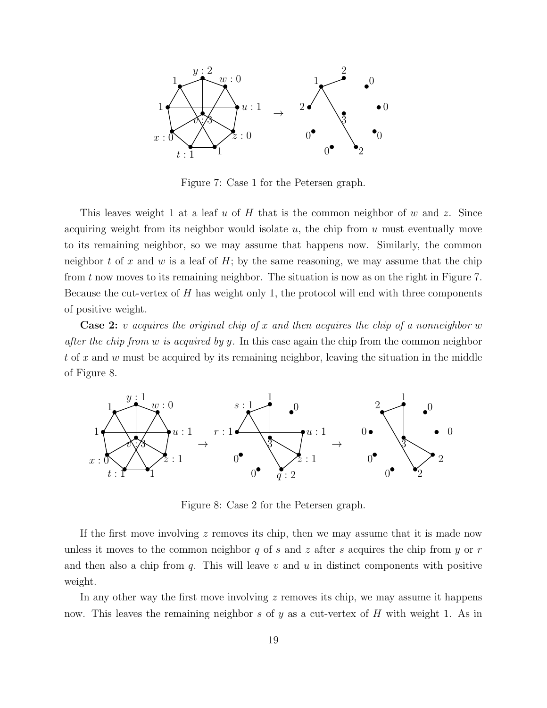

Figure 7: Case 1 for the Petersen graph.

This leaves weight 1 at a leaf u of H that is the common neighbor of w and z. Since acquiring weight from its neighbor would isolate  $u$ , the chip from  $u$  must eventually move to its remaining neighbor, so we may assume that happens now. Similarly, the common neighbor t of x and w is a leaf of  $H$ ; by the same reasoning, we may assume that the chip from t now moves to its remaining neighbor. The situation is now as on the right in Figure 7. Because the cut-vertex of  $H$  has weight only 1, the protocol will end with three components of positive weight.

**Case 2:** v acquires the original chip of x and then acquires the chip of a nonneighbor w after the chip from w is acquired by y. In this case again the chip from the common neighbor t of x and w must be acquired by its remaining neighbor, leaving the situation in the middle of Figure 8.



Figure 8: Case 2 for the Petersen graph.

If the first move involving z removes its chip, then we may assume that it is made now unless it moves to the common neighbor q of s and z after s acquires the chip from y or  $r$ and then also a chip from  $q$ . This will leave  $v$  and  $u$  in distinct components with positive weight.

In any other way the first move involving  $z$  removes its chip, we may assume it happens now. This leaves the remaining neighbor s of y as a cut-vertex of  $H$  with weight 1. As in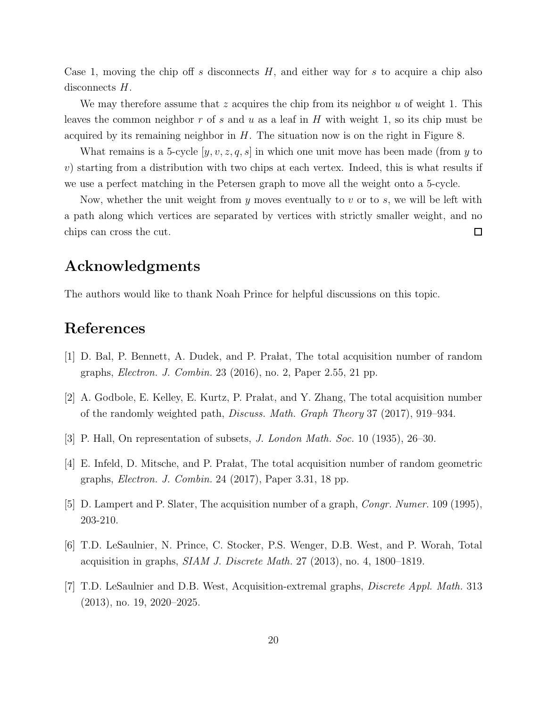Case 1, moving the chip of s disconnects  $H$ , and either way for s to acquire a chip also disconnects H.

We may therefore assume that z acquires the chip from its neighbor  $u$  of weight 1. This leaves the common neighbor r of s and u as a leaf in H with weight 1, so its chip must be acquired by its remaining neighbor in  $H$ . The situation now is on the right in Figure 8.

What remains is a 5-cycle  $[y, v, z, q, s]$  in which one unit move has been made (from y to  $v$ ) starting from a distribution with two chips at each vertex. Indeed, this is what results if we use a perfect matching in the Petersen graph to move all the weight onto a 5-cycle.

Now, whether the unit weight from y moves eventually to v or to s, we will be left with a path along which vertices are separated by vertices with strictly smaller weight, and no chips can cross the cut.  $\Box$ 

### Acknowledgments

The authors would like to thank Noah Prince for helpful discussions on this topic.

# References

- [1] D. Bal, P. Bennett, A. Dudek, and P. Pralat, The total acquisition number of random graphs, Electron. J. Combin. 23 (2016), no. 2, Paper 2.55, 21 pp.
- [2] A. Godbole, E. Kelley, E. Kurtz, P. Pralat, and Y. Zhang, The total acquisition number of the randomly weighted path, Discuss. Math. Graph Theory 37 (2017), 919–934.
- [3] P. Hall, On representation of subsets, J. London Math. Soc. 10 (1935), 26–30.
- [4] E. Infeld, D. Mitsche, and P. Pralat, The total acquisition number of random geometric graphs, Electron. J. Combin. 24 (2017), Paper 3.31, 18 pp.
- [5] D. Lampert and P. Slater, The acquisition number of a graph, Congr. Numer. 109 (1995), 203-210.
- [6] T.D. LeSaulnier, N. Prince, C. Stocker, P.S. Wenger, D.B. West, and P. Worah, Total acquisition in graphs, SIAM J. Discrete Math. 27 (2013), no. 4, 1800–1819.
- [7] T.D. LeSaulnier and D.B. West, Acquisition-extremal graphs, Discrete Appl. Math. 313 (2013), no. 19, 2020–2025.